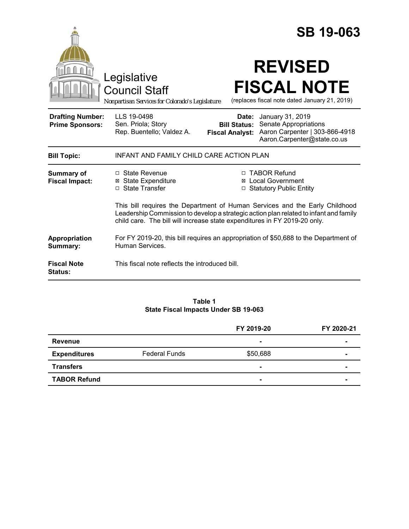|                                                   |                                                                                                                                                                                                                                                   |                                               | <b>SB 19-063</b>                                                                                                        |
|---------------------------------------------------|---------------------------------------------------------------------------------------------------------------------------------------------------------------------------------------------------------------------------------------------------|-----------------------------------------------|-------------------------------------------------------------------------------------------------------------------------|
|                                                   | Legislative<br>Council Staff<br>Nonpartisan Services for Colorado's Legislature                                                                                                                                                                   |                                               | <b>REVISED</b><br><b>FISCAL NOTE</b><br>(replaces fiscal note dated January 21, 2019)                                   |
| <b>Drafting Number:</b><br><b>Prime Sponsors:</b> | LLS 19-0498<br>Sen. Priola; Story<br>Rep. Buentello; Valdez A.                                                                                                                                                                                    | <b>Bill Status:</b><br><b>Fiscal Analyst:</b> | <b>Date:</b> January 31, 2019<br>Senate Appropriations<br>Aaron Carpenter   303-866-4918<br>Aaron.Carpenter@state.co.us |
| <b>Bill Topic:</b>                                | INFANT AND FAMILY CHILD CARE ACTION PLAN                                                                                                                                                                                                          |                                               |                                                                                                                         |
| <b>Summary of</b><br><b>Fiscal Impact:</b>        | □ State Revenue<br><b>⊠</b> State Expenditure<br>□ State Transfer                                                                                                                                                                                 | $\Box$                                        | □ TABOR Refund<br><b>⊠</b> Local Government<br><b>Statutory Public Entity</b>                                           |
|                                                   | This bill requires the Department of Human Services and the Early Childhood<br>Leadership Commission to develop a strategic action plan related to infant and family<br>child care. The bill will increase state expenditures in FY 2019-20 only. |                                               |                                                                                                                         |
| Appropriation<br>Summary:                         | For FY 2019-20, this bill requires an appropriation of \$50,688 to the Department of<br>Human Services.                                                                                                                                           |                                               |                                                                                                                         |
| <b>Fiscal Note</b><br><b>Status:</b>              | This fiscal note reflects the introduced bill.                                                                                                                                                                                                    |                                               |                                                                                                                         |

### **Table 1 State Fiscal Impacts Under SB 19-063**

|                     |                      | FY 2019-20     | FY 2020-21 |
|---------------------|----------------------|----------------|------------|
| Revenue             |                      | $\blacksquare$ | ۰          |
| <b>Expenditures</b> | <b>Federal Funds</b> | \$50,688       |            |
| <b>Transfers</b>    |                      | $\blacksquare$ |            |
| <b>TABOR Refund</b> |                      | $\blacksquare$ |            |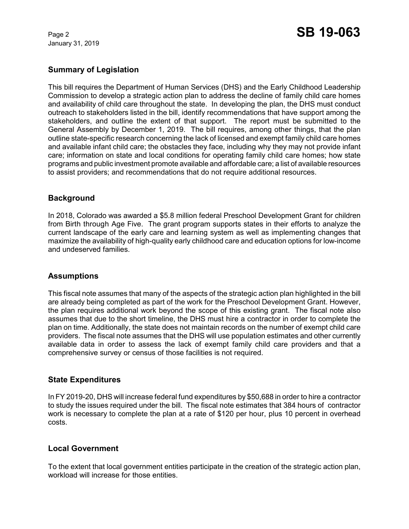January 31, 2019

# **Summary of Legislation**

This bill requires the Department of Human Services (DHS) and the Early Childhood Leadership Commission to develop a strategic action plan to address the decline of family child care homes and availability of child care throughout the state. In developing the plan, the DHS must conduct outreach to stakeholders listed in the bill, identify recommendations that have support among the stakeholders, and outline the extent of that support. The report must be submitted to the General Assembly by December 1, 2019. The bill requires, among other things, that the plan outline state-specific research concerning the lack of licensed and exempt family child care homes and available infant child care; the obstacles they face, including why they may not provide infant care; information on state and local conditions for operating family child care homes; how state programs and public investment promote available and affordable care; a list of available resources to assist providers; and recommendations that do not require additional resources.

# **Background**

In 2018, Colorado was awarded a \$5.8 million federal Preschool Development Grant for children from Birth through Age Five. The grant program supports states in their efforts to analyze the current landscape of the early care and learning system as well as implementing changes that maximize the availability of high-quality early childhood care and education options for low-income and undeserved families.

## **Assumptions**

This fiscal note assumes that many of the aspects of the strategic action plan highlighted in the bill are already being completed as part of the work for the Preschool Development Grant. However, the plan requires additional work beyond the scope of this existing grant. The fiscal note also assumes that due to the short timeline, the DHS must hire a contractor in order to complete the plan on time. Additionally, the state does not maintain records on the number of exempt child care providers. The fiscal note assumes that the DHS will use population estimates and other currently available data in order to assess the lack of exempt family child care providers and that a comprehensive survey or census of those facilities is not required.

### **State Expenditures**

In FY 2019-20, DHS will increase federal fund expenditures by \$50,688 in order to hire a contractor to study the issues required under the bill. The fiscal note estimates that 384 hours of contractor work is necessary to complete the plan at a rate of \$120 per hour, plus 10 percent in overhead costs.

## **Local Government**

To the extent that local government entities participate in the creation of the strategic action plan, workload will increase for those entities.